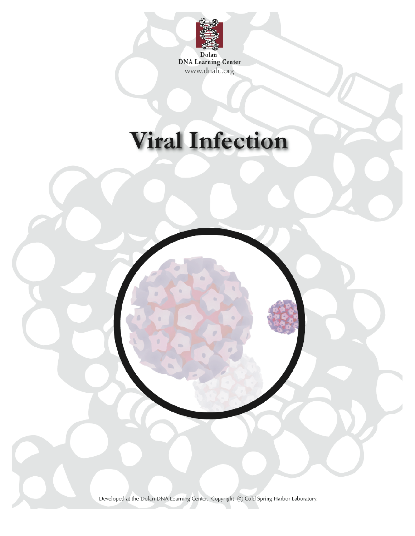

**DNA Learning Center** www.dnalc.org

# **Viral Infection**

Developed at the Dolan DNA Learning Center. Copyright C Cold Spring Harbor Laboratory.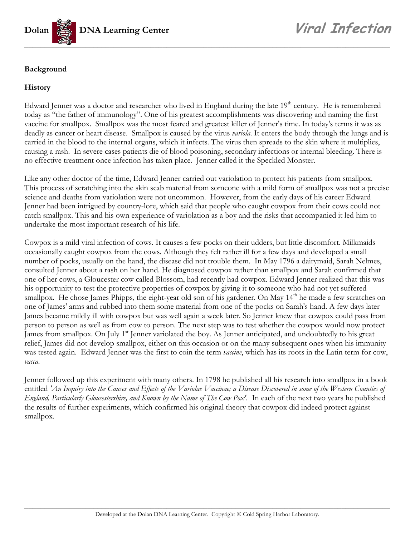

# **Background**

# **History**

Edward Jenner was a doctor and researcher who lived in England during the late 19<sup>th</sup> century. He is remembered today as "the father of immunology". One of his greatest accomplishments was discovering and naming the first vaccine for smallpox. Smallpox was the most feared and greatest killer of Jenner's time. In today's terms it was as deadly as cancer or heart disease. Smallpox is caused by the virus *variola*. It enters the body through the lungs and is carried in the blood to the internal organs, which it infects. The virus then spreads to the skin where it multiplies, causing a rash. In severe cases patients die of blood poisoning, secondary infections or internal bleeding. There is no effective treatment once infection has taken place. Jenner called it the Speckled Monster.

Like any other doctor of the time, Edward Jenner carried out variolation to protect his patients from smallpox. This process of scratching into the skin scab material from someone with a mild form of smallpox was not a precise science and deaths from variolation were not uncommon. However, from the early days of his career Edward Jenner had been intrigued by country-lore, which said that people who caught cowpox from their cows could not catch smallpox. This and his own experience of variolation as a boy and the risks that accompanied it led him to undertake the most important research of his life.

Cowpox is a mild viral infection of cows. It causes a few pocks on their udders, but little discomfort. Milkmaids occasionally caught cowpox from the cows. Although they felt rather ill for a few days and developed a small number of pocks, usually on the hand, the disease did not trouble them. In May 1796 a dairymaid, Sarah Nelmes, consulted Jenner about a rash on her hand. He diagnosed cowpox rather than smallpox and Sarah confirmed that one of her cows, a Gloucester cow called Blossom, had recently had cowpox. Edward Jenner realized that this was his opportunity to test the protective properties of cowpox by giving it to someone who had not yet suffered smallpox. He chose James Phipps, the eight-year old son of his gardener. On May 14<sup>th</sup> he made a few scratches on one of James' arms and rubbed into them some material from one of the pocks on Sarah's hand. A few days later James became mildly ill with cowpox but was well again a week later. So Jenner knew that cowpox could pass from person to person as well as from cow to person. The next step was to test whether the cowpox would now protect James from smallpox. On July 1<sup>st</sup> Jenner variolated the boy. As Jenner anticipated, and undoubtedly to his great relief, James did not develop smallpox, either on this occasion or on the many subsequent ones when his immunity was tested again. Edward Jenner was the first to coin the term *vaccine*, which has its roots in the Latin term for cow, *vacca*.

Jenner followed up this experiment with many others. In 1798 he published all his research into smallpox in a book entitled *'An Inquiry into the Causes and Effects of the Variolae Vaccinae; a Disease Discovered in some of the Western Counties of England, Particularly Gloucestershire, and Known by the Name of The Cow Pox'.* In each of the next two years he published the results of further experiments, which confirmed his original theory that cowpox did indeed protect against smallpox.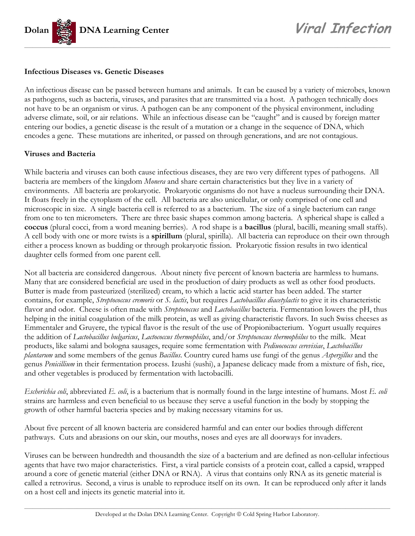

### **Infectious Diseases vs. Genetic Diseases**

An infectious disease can be passed between humans and animals. It can be caused by a variety of microbes, known as pathogens, such as bacteria, viruses, and parasites that are transmitted via a host. A pathogen technically does not have to be an organism or virus. A pathogen can be any component of the physical environment, including adverse climate, soil, or air relations. While an infectious disease can be "caught" and is caused by foreign matter entering our bodies, a genetic disease is the result of a mutation or a change in the sequence of DNA, which encodes a gene. These mutations are inherited, or passed on through generations, and are not contagious.

#### **Viruses and Bacteria**

While bacteria and viruses can both cause infectious diseases, they are two very different types of pathogens. All bacteria are members of the kingdom *Monera* and share certain characteristics but they live in a variety of environments. All bacteria are prokaryotic. Prokaryotic organisms do not have a nucleus surrounding their DNA. It floats freely in the cytoplasm of the cell. All bacteria are also unicellular, or only comprised of one cell and microscopic in size. A single bacteria cell is referred to as a bacterium. The size of a single bacterium can range from one to ten micrometers. There are three basic shapes common among bacteria. A spherical shape is called a **coccus** (plural cocci, from a word meaning berries). A rod shape is a **bacillus** (plural, bacilli, meaning small staffs). A cell body with one or more twists is a **spirillum** (plural, spirilla). All bacteria can reproduce on their own through either a process known as budding or through prokaryotic fission. Prokaryotic fission results in two identical daughter cells formed from one parent cell.

Not all bacteria are considered dangerous. About ninety five percent of known bacteria are harmless to humans. Many that are considered beneficial are used in the production of dairy products as well as other food products. Butter is made from pasteurized (sterilized) cream, to which a lactic acid starter has been added. The starter contains, for example, *Streptococcus cremoris* or *S. lactis*, but requires *Lactobacillus diacetylactis* to give it its characteristic flavor and odor. Cheese is often made with *Streptococcus* and *Lactobacillus* bacteria. Fermentation lowers the pH, thus helping in the initial coagulation of the milk protein, as well as giving characteristic flavors. In such Swiss cheeses as Emmentaler and Gruyere, the typical flavor is the result of the use of Propionibacterium. Yogurt usually requires the addition of *Lactobacillus bulgaricus*, *Lactococcus thermophilus*, and/or *Streptococcus thermophilus* to the milk. Meat products, like salami and bologna sausages, require some fermentation with *Pediuococcus cerevisiae*, *Lactobacillus plantarum* and some members of the genus *Bacillus*. Country cured hams use fungi of the genus *Aspergillus* and the genus *Penicillium* in their fermentation process. Izushi (sushi), a Japanese delicacy made from a mixture of fish, rice, and other vegetables is produced by fermentation with lactobacilli.

*Escherichia coli*, abbreviated *E. coli*, is a bacterium that is normally found in the large intestine of humans. Most *E. coli* strains are harmless and even beneficial to us because they serve a useful function in the body by stopping the growth of other harmful bacteria species and by making necessary vitamins for us.

About five percent of all known bacteria are considered harmful and can enter our bodies through different pathways. Cuts and abrasions on our skin, our mouths, noses and eyes are all doorways for invaders.

Viruses can be between hundredth and thousandth the size of a bacterium and are defined as non-cellular infectious agents that have two major characteristics. First, a viral particle consists of a protein coat, called a capsid, wrapped around a core of genetic material (either DNA or RNA). A virus that contains only RNA as its genetic material is called a retrovirus. Second, a virus is unable to reproduce itself on its own. It can be reproduced only after it lands on a host cell and injects its genetic material into it.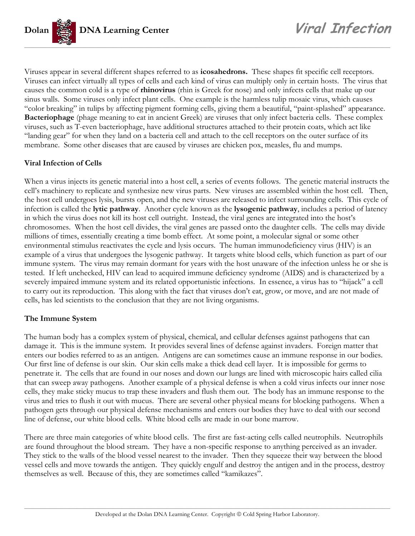

Viruses appear in several different shapes referred to as **icosahedrons.** These shapes fit specific cell receptors. Viruses can infect virtually all types of cells and each kind of virus can multiply only in certain hosts. The virus that causes the common cold is a type of **rhinovirus** (rhin is Greek for nose) and only infects cells that make up our sinus walls. Some viruses only infect plant cells. One example is the harmless tulip mosaic virus, which causes "color breaking" in tulips by affecting pigment forming cells, giving them a beautiful, "paint-splashed" appearance. **Bacteriophage** (phage meaning to eat in ancient Greek) are viruses that only infect bacteria cells. These complex viruses, such as T-even bacteriophage, have additional structures attached to their protein coats, which act like "landing gear" for when they land on a bacteria cell and attach to the cell receptors on the outer surface of its membrane. Some other diseases that are caused by viruses are chicken pox, measles, flu and mumps.

# **Viral Infection of Cells**

When a virus injects its genetic material into a host cell, a series of events follows. The genetic material instructs the cell's machinery to replicate and synthesize new virus parts. New viruses are assembled within the host cell. Then, the host cell undergoes lysis, bursts open, and the new viruses are released to infect surrounding cells. This cycle of infection is called the **lytic pathway**. Another cycle known as the **lysogenic pathway**, includes a period of latency in which the virus does not kill its host cell outright. Instead, the viral genes are integrated into the host's chromosomes. When the host cell divides, the viral genes are passed onto the daughter cells. The cells may divide millions of times, essentially creating a time bomb effect. At some point, a molecular signal or some other environmental stimulus reactivates the cycle and lysis occurs. The human immunodeficiency virus (HIV) is an example of a virus that undergoes the lysogenic pathway. It targets white blood cells, which function as part of our immune system. The virus may remain dormant for years with the host unaware of the infection unless he or she is tested. If left unchecked, HIV can lead to acquired immune deficiency syndrome (AIDS) and is characterized by a severely impaired immune system and its related opportunistic infections. In essence, a virus has to "hijack" a cell to carry out its reproduction. This along with the fact that viruses don't eat, grow, or move, and are not made of cells, has led scientists to the conclusion that they are not living organisms.

### **The Immune System**

The human body has a complex system of physical, chemical, and cellular defenses against pathogens that can damage it. This is the immune system. It provides several lines of defense against invaders. Foreign matter that enters our bodies referred to as an antigen. Antigens are can sometimes cause an immune response in our bodies. Our first line of defense is our skin. Our skin cells make a thick dead cell layer. It is impossible for germs to penetrate it. The cells that are found in our noses and down our lungs are lined with microscopic hairs called cilia that can sweep away pathogens. Another example of a physical defense is when a cold virus infects our inner nose cells, they make sticky mucus to trap these invaders and flush them out. The body has an immune response to the virus and tries to flush it out with mucus. There are several other physical means for blocking pathogens. When a pathogen gets through our physical defense mechanisms and enters our bodies they have to deal with our second line of defense, our white blood cells. White blood cells are made in our bone marrow.

There are three main categories of white blood cells. The first are fast-acting cells called neutrophils. Neutrophils are found throughout the blood stream. They have a non-specific response to anything perceived as an invader. They stick to the walls of the blood vessel nearest to the invader. Then they squeeze their way between the blood vessel cells and move towards the antigen. They quickly engulf and destroy the antigen and in the process, destroy themselves as well. Because of this, they are sometimes called "kamikazes".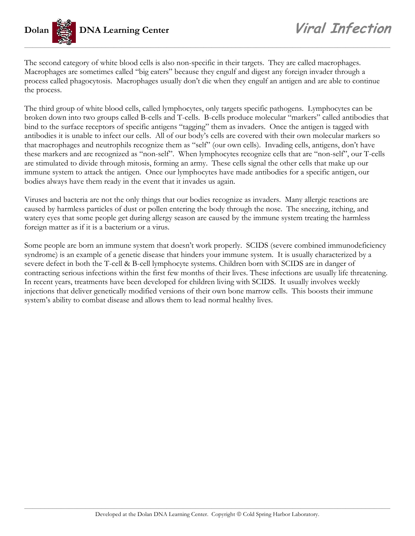

The second category of white blood cells is also non-specific in their targets. They are called macrophages. Macrophages are sometimes called "big eaters" because they engulf and digest any foreign invader through a process called phagocytosis. Macrophages usually don't die when they engulf an antigen and are able to continue the process.

The third group of white blood cells, called lymphocytes, only targets specific pathogens. Lymphocytes can be broken down into two groups called B-cells and T-cells. B-cells produce molecular "markers" called antibodies that bind to the surface receptors of specific antigens "tagging" them as invaders. Once the antigen is tagged with antibodies it is unable to infect our cells. All of our body's cells are covered with their own molecular markers so that macrophages and neutrophils recognize them as "self" (our own cells). Invading cells, antigens, don't have these markers and are recognized as "non-self". When lymphocytes recognize cells that are "non-self", our T-cells are stimulated to divide through mitosis, forming an army. These cells signal the other cells that make up our immune system to attack the antigen. Once our lymphocytes have made antibodies for a specific antigen, our bodies always have them ready in the event that it invades us again.

Viruses and bacteria are not the only things that our bodies recognize as invaders. Many allergic reactions are caused by harmless particles of dust or pollen entering the body through the nose. The sneezing, itching, and watery eyes that some people get during allergy season are caused by the immune system treating the harmless foreign matter as if it is a bacterium or a virus.

Some people are born an immune system that doesn't work properly. SCIDS (severe combined immunodeficiency syndrome) is an example of a genetic disease that hinders your immune system. It is usually characterized by a severe defect in both the T-cell & B-cell lymphocyte systems. Children born with SCIDS are in danger of contracting serious infections within the first few months of their lives. These infections are usually life threatening. In recent years, treatments have been developed for children living with SCIDS. It usually involves weekly injections that deliver genetically modified versions of their own bone marrow cells. This boosts their immune system's ability to combat disease and allows them to lead normal healthy lives.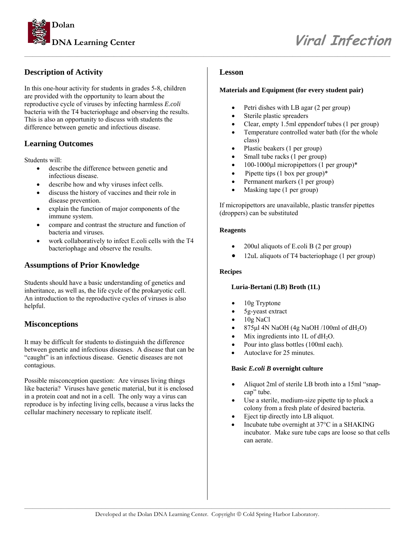

# **Description of Activity**

In this one-hour activity for students in grades 5-8, children are provided with the opportunity to learn about the reproductive cycle of viruses by infecting harmless *E.coli*  bacteria with the T4 bacteriophage and observing the results. This is also an opportunity to discuss with students the difference between genetic and infectious disease.

# **Learning Outcomes**

Students will:

- describe the difference between genetic and infectious disease.
- describe how and why viruses infect cells.
- discuss the history of vaccines and their role in disease prevention.
- explain the function of major components of the immune system.
- compare and contrast the structure and function of bacteria and viruses.
- work collaboratively to infect E.coli cells with the T4 bacteriophage and observe the results.

## **Assumptions of Prior Knowledge**

Students should have a basic understanding of genetics and inheritance, as well as, the life cycle of the prokaryotic cell. An introduction to the reproductive cycles of viruses is also helpful.

### **Misconceptions**

It may be difficult for students to distinguish the difference between genetic and infectious diseases. A disease that can be "caught" is an infectious disease. Genetic diseases are not contagious.

Possible misconception question: Are viruses living things like bacteria? Viruses have genetic material, but it is enclosed in a protein coat and not in a cell. The only way a virus can reproduce is by infecting living cells, because a virus lacks the cellular machinery necessary to replicate itself.

### **Lesson**

*\_\_\_\_\_\_\_\_\_\_\_\_\_\_\_\_\_\_\_\_\_\_\_\_\_\_\_\_\_\_\_\_\_\_\_\_\_\_\_\_\_\_\_\_\_\_\_\_\_\_\_\_\_\_\_\_\_\_\_\_\_\_\_\_\_\_\_\_\_\_\_\_\_\_\_\_\_\_\_\_\_\_\_\_\_\_\_\_\_\_* 

#### **Materials and Equipment (for every student pair)**

- Petri dishes with LB agar (2 per group)
- Sterile plastic spreaders
- Clear, empty 1.5ml eppendorf tubes (1 per group)
- Temperature controlled water bath (for the whole class)
- Plastic beakers (1 per group)
- Small tube racks (1 per group)
- 100-1000μl micropipettors  $(1$  per group)<sup>\*</sup>
- Pipette tips  $(1 \text{ box per group})^*$
- Permanent markers (1 per group)
- Masking tape (1 per group)

If micropipettors are unavailable, plastic transfer pipettes (droppers) can be substituted

#### **Reagents**

- 200ul aliquots of E.coli B (2 per group)
- 12uL aliquots of T4 bacteriophage (1 per group)

#### **Recipes**

#### **Luria-Bertani (LB) Broth (1L)**

- 10g Tryptone
- 5g-yeast extract
- 10g NaCl
- 875μl 4N NaOH (4g NaOH /100ml of dH<sub>2</sub>O)
- Mix ingredients into  $1L$  of  $dH_2O$ .
- Pour into glass bottles (100ml each).
- Autoclave for 25 minutes.

#### **Basic** *E.coli B* **overnight culture**

- Aliquot 2ml of sterile LB broth into a 15ml "snapcap" tube.
- Use a sterile, medium-size pipette tip to pluck a colony from a fresh plate of desired bacteria.
- Eject tip directly into LB aliquot.
- Incubate tube overnight at 37°C in a SHAKING incubator. Make sure tube caps are loose so that cells can aerate.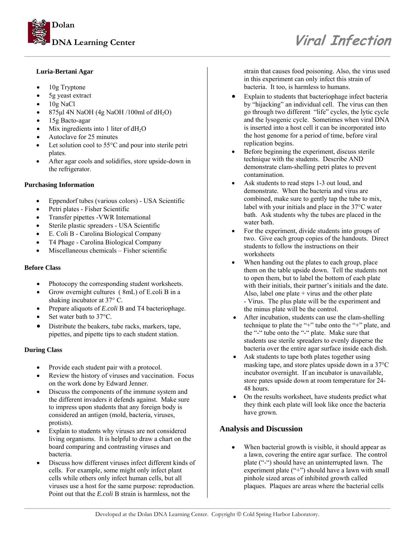

#### **Luria-Bertani Agar**

- 10g Tryptone
- 5g yeast extract
- 10g NaCl
- 875μl 4N NaOH (4g NaOH /100ml of dH2O)
- 15g Bacto-agar
- Mix ingredients into 1 liter of  $dH<sub>2</sub>O$
- Autoclave for 25 minutes
- Let solution cool to 55°C and pour into sterile petri plates.
- After agar cools and solidifies, store upside-down in the refrigerator.

#### **Purchasing Information**

- Eppendorf tubes (various colors) USA Scientific
- Petri plates Fisher Scientific
- Transfer pipettes -VWR International
- Sterile plastic spreaders USA Scientific
- E. Coli B Carolina Biological Company
- T4 Phage Carolina Biological Company
- Miscellaneous chemicals Fisher scientific

#### **Before Class**

- Photocopy the corresponding student worksheets.
- Grow overnight cultures ( 8mL) of E.coli B in a shaking incubator at 37° C.
- Prepare aliquots of *E.coli* B and T4 bacteriophage.
- Set water bath to 37°C.
- Distribute the beakers, tube racks, markers, tape, pipettes, and pipette tips to each student station.

#### **During Class**

- Provide each student pair with a protocol.
- Review the history of viruses and vaccination. Focus on the work done by Edward Jenner.
- Discuss the components of the immune system and the different invaders it defends against. Make sure to impress upon students that any foreign body is considered an antigen (mold, bacteria, viruses, protists).
- Explain to students why viruses are not considered living organisms. It is helpful to draw a chart on the board comparing and contrasting viruses and bacteria.
- Discuss how different viruses infect different kinds of cells. For example, some might only infect plant cells while others only infect human cells, but all viruses use a host for the same purpose: reproduction. Point out that the *E.coli* B strain is harmless, not the

strain that causes food poisoning. Also, the virus used in this experiment can only infect this strain of bacteria. It too, is harmless to humans.

- Explain to students that bacteriophage infect bacteria by "hijacking" an individual cell. The virus can then go through two different "life" cycles, the lytic cycle and the lysogenic cycle. Sometimes when viral DNA is inserted into a host cell it can be incorporated into the host genome for a period of time, before viral replication begins.
- Before beginning the experiment, discuss sterile technique with the students. Describe AND demonstrate clam-shelling petri plates to prevent contamination.
- Ask students to read steps 1-3 out loud, and demonstrate. When the bacteria and virus are combined, make sure to gently tap the tube to mix, label with your initials and place in the 37°C water bath. Ask students why the tubes are placed in the water bath.
- For the experiment, divide students into groups of two. Give each group copies of the handouts. Direct students to follow the instructions on their worksheets
- When handing out the plates to each group, place them on the table upside down. Tell the students not to open them, but to label the bottom of each plate with their initials, their partner's initials and the date. Also, label one plate + virus and the other plate - Virus. The plus plate will be the experiment and the minus plate will be the control.
- After incubation, students can use the clam-shelling technique to plate the "+" tube onto the "+" plate, and the "-" tube onto the "-" plate. Make sure that students use sterile spreaders to evenly disperse the bacteria over the entire agar surface inside each dish.
- Ask students to tape both plates together using masking tape, and store plates upside down in a 37°C incubator overnight. If an incubator is unavailable, store pates upside down at room temperature for 24- 48 hours.
- On the results worksheet, have students predict what they think each plate will look like once the bacteria have grown.

#### **Analysis and Discussion**

• When bacterial growth is visible, it should appear as a lawn, covering the entire agar surface. The control plate ("-") should have an uninterrupted lawn. The experiment plate ("+") should have a lawn with small pinhole sized areas of inhibited growth called plaques. Plaques are areas where the bacterial cells

*\_\_\_\_\_\_\_\_\_\_\_\_\_\_\_\_\_\_\_\_\_\_\_\_\_\_\_\_\_\_\_\_\_\_\_\_\_\_\_\_\_\_\_\_\_\_\_\_\_\_\_\_\_\_\_\_\_\_\_\_\_\_\_\_\_\_\_\_\_\_\_\_\_\_\_\_\_\_\_\_\_\_\_\_\_\_\_\_\_\_*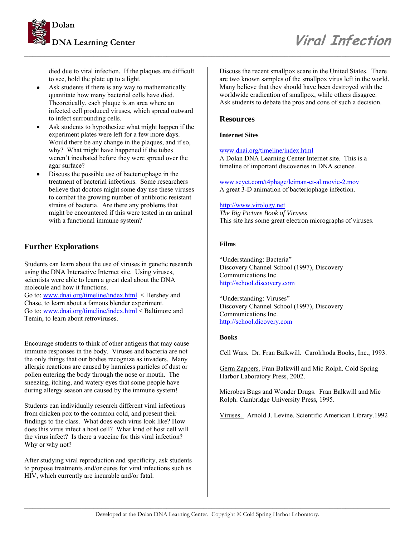

# **DNA Learning Center** *Viral Infection*

died due to viral infection. If the plaques are difficult to see, hold the plate up to a light.

- Ask students if there is any way to mathematically quantitate how many bacterial cells have died. Theoretically, each plaque is an area where an infected cell produced viruses, which spread outward to infect surrounding cells.
- Ask students to hypothesize what might happen if the experiment plates were left for a few more days. Would there be any change in the plaques, and if so, why? What might have happened if the tubes weren't incubated before they were spread over the agar surface?
- Discuss the possible use of bacteriophage in the treatment of bacterial infections. Some researchers believe that doctors might some day use these viruses to combat the growing number of antibiotic resistant strains of bacteria. Are there any problems that might be encountered if this were tested in an animal with a functional immune system?

# **Further Explorations**

Students can learn about the use of viruses in genetic research using the DNA Interactive Internet site. Using viruses, scientists were able to learn a great deal about the DNA molecule and how it functions. Go to: [www.dnai.org/timeline/index.html](http://www.dnai.org/timeline/index.html) < Hershey and Chase, to learn about a famous blender experiment. Go to: [www.dnai.org/timeline/index.html](http://www.dnai.org/timeline/index.html) < Baltimore and Temin, to learn about retroviruses.

Encourage students to think of other antigens that may cause immune responses in the body. Viruses and bacteria are not the only things that our bodies recognize as invaders. Many allergic reactions are caused by harmless particles of dust or pollen entering the body through the nose or mouth. The sneezing, itching, and watery eyes that some people have during allergy season are caused by the immune system!

Students can individually research different viral infections from chicken pox to the common cold, and present their findings to the class. What does each virus look like? How does this virus infect a host cell? What kind of host cell will the virus infect? Is there a vaccine for this viral infection? Why or why not?

After studying viral reproduction and specificity, ask students to propose treatments and/or cures for viral infections such as HIV, which currently are incurable and/or fatal.

Discuss the recent smallpox scare in the United States. There are two known samples of the smallpox virus left in the world. Many believe that they should have been destroyed with the worldwide eradication of smallpox, while others disagree. Ask students to debate the pros and cons of such a decision.

#### **Resources**

*\_\_\_\_\_\_\_\_\_\_\_\_\_\_\_\_\_\_\_\_\_\_\_\_\_\_\_\_\_\_\_\_\_\_\_\_\_\_\_\_\_\_\_\_\_\_\_\_\_\_\_\_\_\_\_\_\_\_\_\_\_\_\_\_\_\_\_\_\_\_\_\_\_\_\_\_\_\_\_\_\_\_\_\_\_\_\_\_\_\_* 

#### **Internet Sites**

www.dnai.org/timeline/index.html

A Dolan DNA Learning Center Internet site. This is a timeline of important discoveries in DNA science.

[www.seyet.com/t4phage/leiman-et-al.movie-2.mov](http://www.seyet.com/t4phage/leiman-et-al.movie-2.mov) A great 3-D animation of bacteriophage infection.

#### [http://www.virology.net](http://www.virology.net/)

*The Big Picture Book of Viruses*  This site has some great electron micrographs of viruses.

#### **Films**

"Understanding: Bacteria" Discovery Channel School (1997), Discovery Communications Inc. [http://school.discovery.com](http://school.discovery.com/)

"Understanding: Viruses" Discovery Channel School (1997), Discovery Communications Inc. [http://school.dicovery.com](http://school.dicovery.com/)

#### **Books**

Cell Wars. Dr. Fran Balkwill. Carolrhoda Books, Inc., 1993.

Germ Zappers. Fran Balkwill and Mic Rolph. Cold Spring Harbor Laboratory Press, 2002.

Microbes Bugs and Wonder Drugs. Fran Balkwill and Mic Rolph. Cambridge University Press, 1995.

Viruses. Arnold J. Levine. Scientific American Library.1992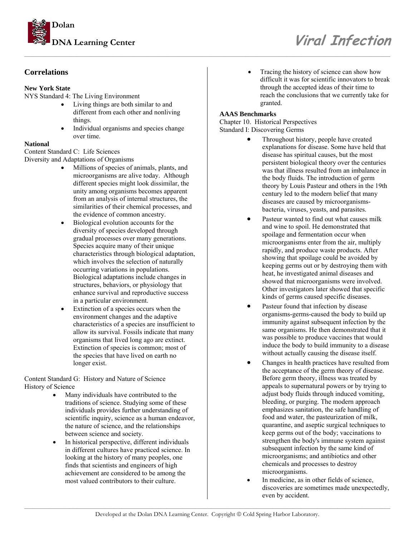

# **DNA Learning Center** *Viral Infection*

# **Correlations**

#### **New York State**

NYS Standard 4: The Living Environment

- Living things are both similar to and different from each other and nonliving things.
- Individual organisms and species change over time.

#### **National**

Content Standard C: Life Sciences

Diversity and Adaptations of Organisms

- Millions of species of animals, plants, and microorganisms are alive today. Although different species might look dissimilar, the unity among organisms becomes apparent from an analysis of internal structures, the similarities of their chemical processes, and the evidence of common ancestry.
- Biological evolution accounts for the diversity of species developed through gradual processes over many generations. Species acquire many of their unique characteristics through biological adaptation, which involves the selection of naturally occurring variations in populations. Biological adaptations include changes in structures, behaviors, or physiology that enhance survival and reproductive success in a particular environment.
- Extinction of a species occurs when the environment changes and the adaptive characteristics of a species are insufficient to allow its survival. Fossils indicate that many organisms that lived long ago are extinct. Extinction of species is common; most of the species that have lived on earth no longer exist.

Content Standard G: History and Nature of Science History of Science

- Many individuals have contributed to the traditions of science. Studying some of these individuals provides further understanding of scientific inquiry, science as a human endeavor, the nature of science, and the relationships between science and society.
- In historical perspective, different individuals in different cultures have practiced science. In looking at the history of many peoples, one finds that scientists and engineers of high achievement are considered to be among the most valued contributors to their culture.

Tracing the history of science can show how difficult it was for scientific innovators to break through the accepted ideas of their time to reach the conclusions that we currently take for granted.

#### **AAAS Benchmarks**

*\_\_\_\_\_\_\_\_\_\_\_\_\_\_\_\_\_\_\_\_\_\_\_\_\_\_\_\_\_\_\_\_\_\_\_\_\_\_\_\_\_\_\_\_\_\_\_\_\_\_\_\_\_\_\_\_\_\_\_\_\_\_\_\_\_\_\_\_\_\_\_\_\_\_\_\_\_\_\_\_\_\_\_\_\_\_\_\_\_\_* 

Chapter 10. Historical Perspectives Standard I: Discovering Germs

- Throughout history, people have created explanations for disease. Some have held that disease has spiritual causes, but the most persistent biological theory over the centuries was that illness resulted from an imbalance in the body fluids. The introduction of germ theory by Louis Pasteur and others in the 19th century led to the modern belief that many diseases are caused by microorganismsbacteria, viruses, yeasts, and parasites.
- Pasteur wanted to find out what causes milk and wine to spoil. He demonstrated that spoilage and fermentation occur when microorganisms enter from the air, multiply rapidly, and produce waste products. After showing that spoilage could be avoided by keeping germs out or by destroying them with heat, he investigated animal diseases and showed that microorganisms were involved. Other investigators later showed that specific kinds of germs caused specific diseases.
- Pasteur found that infection by disease organisms-germs-caused the body to build up immunity against subsequent infection by the same organisms. He then demonstrated that it was possible to produce vaccines that would induce the body to build immunity to a disease without actually causing the disease itself.
- Changes in health practices have resulted from the acceptance of the germ theory of disease. Before germ theory, illness was treated by appeals to supernatural powers or by trying to adjust body fluids through induced vomiting, bleeding, or purging. The modern approach emphasizes sanitation, the safe handling of food and water, the pasteurization of milk, quarantine, and aseptic surgical techniques to keep germs out of the body; vaccinations to strengthen the body's immune system against subsequent infection by the same kind of microorganisms; and antibiotics and other chemicals and processes to destroy microorganisms.
- In medicine, as in other fields of science, discoveries are sometimes made unexpectedly, even by accident.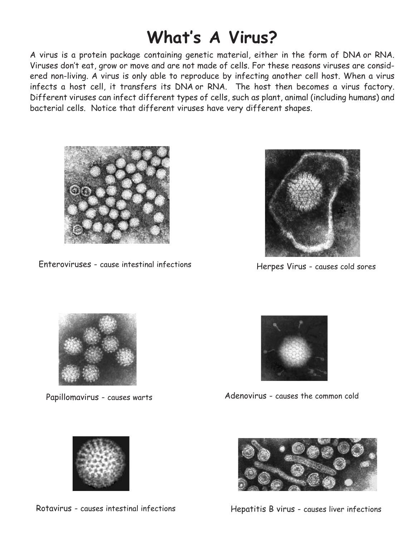# **What's A Virus?**

A virus is a protein package containing genetic material, either in the form of DNA or RNA. Viruses don't eat, grow or move and are not made of cells. For these reasons viruses are considered non-living. A virus is only able to reproduce by infecting another cell host. When a virus infects a host cell, it transfers its DNA or RNA. The host then becomes a virus factory. Different viruses can infect different types of cells, such as plant, animal (including humans) and bacterial cells. Notice that different viruses have very different shapes.



Enteroviruses - cause intestinal infections



Herpes Virus - causes cold sores



Papillomavirus - causes warts



Adenovirus - causes the common cold





Rotavirus - causes intestinal infections Fundal Hepatitis B virus - causes liver infections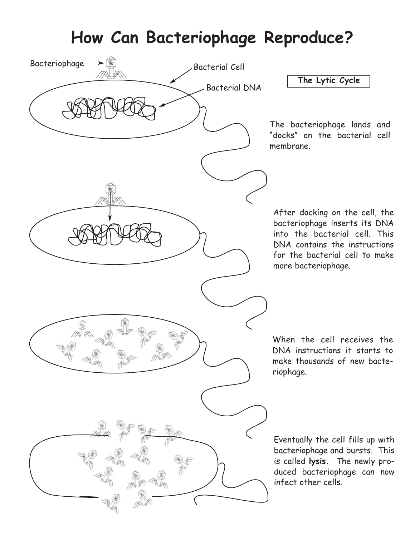# **How Can Bacteriophage Reproduce?**



The bacteriophage lands and "docks" on the bacterial cell membrane.

After docking on the cell, the bacteriophage inserts its DNA into the bacterial cell. This DNA contains the instructions for the bacterial cell to make more bacteriophage.

When the cell receives the DNA instructions it starts to make thousands of new bacteriophage.

Eventually the cell fills up with bacteriophage and bursts. This is called **lysis.** The newly produced bacteriophage can now infect other cells.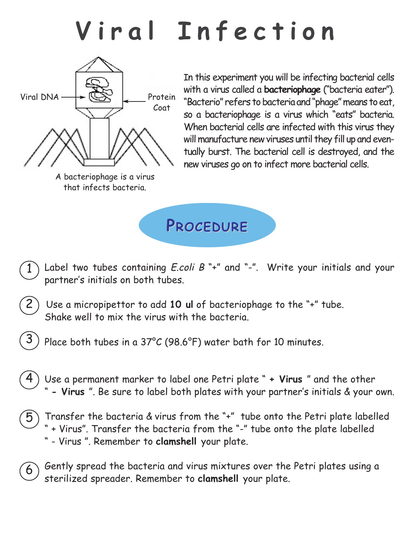# **Viral Infection**



A bacteriophage is a virus that infects bacteria.

2

In this experiment you will be infecting bacterial cells with a virus called a **bacteriophage** ("bacteria eater"). "Bacterio" refers to bacteria and "phage" means to eat, so a bacteriophage is a virus which "eats" bacteria. When bacterial cells are infected with this virus they will manufacture new viruses until they fill up and eventually burst. The bacterial cell is destroyed, and the new viruses go on to infect more bacterial cells.

**PROCEDURE ROCEDURE**

- Label two tubes containing *E.coli B* "+" and "-". Write your initials and your partner's initials on both tubes. 1
	- Use a micropipettor to add **10 ul** of bacteriophage to the "+" tube. Shake well to mix the virus with the bacteria.
- Place both tubes in a 37°C (98.6°F) water bath for 10 minutes. 3
- Use a permanent marker to label one Petri plate " **+ Virus** " and the other " **- Virus** ". Be sure to label both plates with your partner's initials & your own. 4
- Transfer the bacteria & virus from the "+" tube onto the Petri plate labelled " + Virus". Transfer the bacteria from the "-" tube onto the plate labelled " - Virus ". Remember to **clamshell** your plate. 5
- Gently spread the bacteria and virus mixtures over the Petri plates using a sterilized spreader. Remember to **clamshell** your plate. 6